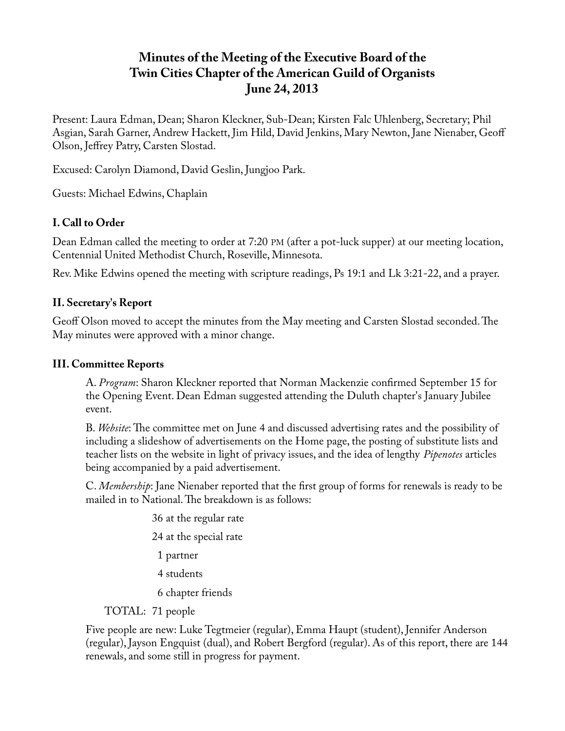# **Minutes of the Meeting of the Executive Board of the Twin Cities Chapter of the American Guild of Organists June 24, 2013**

Present: Laura Edman, Dean; Sharon Kleckner, Sub-Dean; Kirsten Falc Uhlenberg, Secretary; Phil Asgian, Sarah Garner, Andrew Hackett, Jim Hild, David Jenkins, Mary Newton, Jane Nienaber, Geoff Olson, Jeffrey Patry, Carsten Slostad.

Excused: Carolyn Diamond, David Geslin, Jungjoo Park.

Guests: Michael Edwins, Chaplain

# **I. Call to Order**

Dean Edman called the meeting to order at 7:20 PM (after a pot-luck supper) at our meeting location, Centennial United Methodist Church, Roseville, Minnesota.

Rev. Mike Edwins opened the meeting with scripture readings, Ps 19:1 and Lk 3:21-22, and a prayer.

## **II. Secretary's Report**

Geoff Olson moved to accept the minutes from the May meeting and Carsten Slostad seconded. The May minutes were approved with a minor change.

### **III. Committee Reports**

A. *Program*: Sharon Kleckner reported that Norman Mackenzie confirmed September 15 for the Opening Event. Dean Edman suggested attending the Duluth chapter's January Jubilee event.

B. *Website*: The committee met on June 4 and discussed advertising rates and the possibility of including a slideshow of advertisements on the Home page, the posting of substitute lists and teacher lists on the website in light of privacy issues, and the idea of lengthy *Pipenotes* articles being accompanied by a paid advertisement.

C. *Membership*: Jane Nienaber reported that the first group of forms for renewals is ready to be mailed in to National. The breakdown is as follows:

- 36 at the regular rate 24 at the special rate 1 partner 4 students 6 chapter friends
- TOTAL: 71 people

Five people are new: Luke Tegtmeier (regular), Emma Haupt (student), Jennifer Anderson (regular), Jayson Engquist (dual), and Robert Bergford (regular). As of this report, there are 144 renewals, and some still in progress for payment.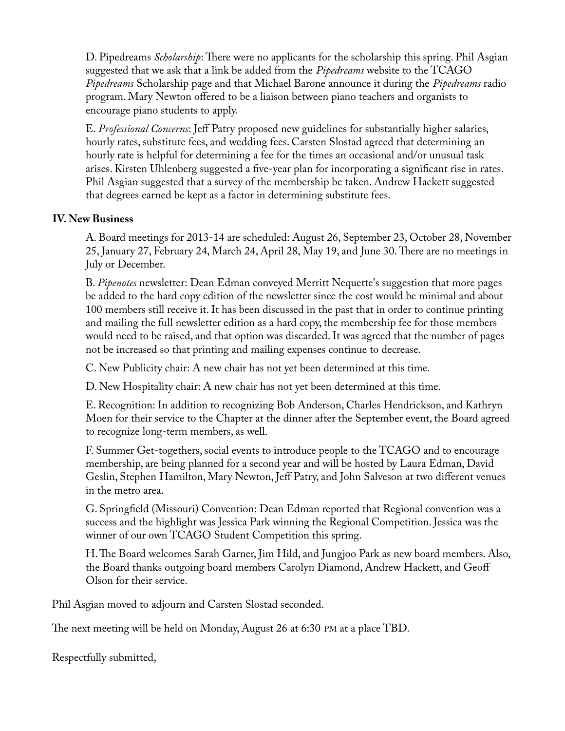D. Pipedreams *Scholarship*: There were no applicants for the scholarship this spring. Phil Asgian suggested that we ask that a link be added from the *Pipedreams* website to the TCAGO *Pipedreams* Scholarship page and that Michael Barone announce it during the *Pipedreams* radio program. Mary Newton offered to be a liaison between piano teachers and organists to encourage piano students to apply.

E. *Professional Concerns*: Jeff Patry proposed new guidelines for substantially higher salaries, hourly rates, substitute fees, and wedding fees. Carsten Slostad agreed that determining an hourly rate is helpful for determining a fee for the times an occasional and/or unusual task arises. Kirsten Uhlenberg suggested a five-year plan for incorporating a significant rise in rates. Phil Asgian suggested that a survey of the membership be taken. Andrew Hackett suggested that degrees earned be kept as a factor in determining substitute fees.

### **IV. New Business**

A. Board meetings for 2013-14 are scheduled: August 26, September 23, October 28, November 25, January 27, February 24, March 24, April 28, May 19, and June 30. There are no meetings in July or December.

B. *Pipenotes* newsletter: Dean Edman conveyed Merritt Nequette's suggestion that more pages be added to the hard copy edition of the newsletter since the cost would be minimal and about 100 members still receive it. It has been discussed in the past that in order to continue printing and mailing the full newsletter edition as a hard copy, the membership fee for those members would need to be raised, and that option was discarded. It was agreed that the number of pages not be increased so that printing and mailing expenses continue to decrease.

C. New Publicity chair: A new chair has not yet been determined at this time.

D. New Hospitality chair: A new chair has not yet been determined at this time.

E. Recognition: In addition to recognizing Bob Anderson, Charles Hendrickson, and Kathryn Moen for their service to the Chapter at the dinner after the September event, the Board agreed to recognize long-term members, as well.

F. Summer Get-togethers, social events to introduce people to the TCAGO and to encourage membership, are being planned for a second year and will be hosted by Laura Edman, David Geslin, Stephen Hamilton, Mary Newton, Jeff Patry, and John Salveson at two different venues in the metro area.

G. Springfield (Missouri) Convention: Dean Edman reported that Regional convention was a success and the highlight was Jessica Park winning the Regional Competition. Jessica was the winner of our own TCAGO Student Competition this spring.

H. The Board welcomes Sarah Garner, Jim Hild, and Jungjoo Park as new board members. Also, the Board thanks outgoing board members Carolyn Diamond, Andrew Hackett, and Geoff Olson for their service.

Phil Asgian moved to adjourn and Carsten Slostad seconded.

The next meeting will be held on Monday, August 26 at 6:30 PM at a place TBD.

Respectfully submitted,